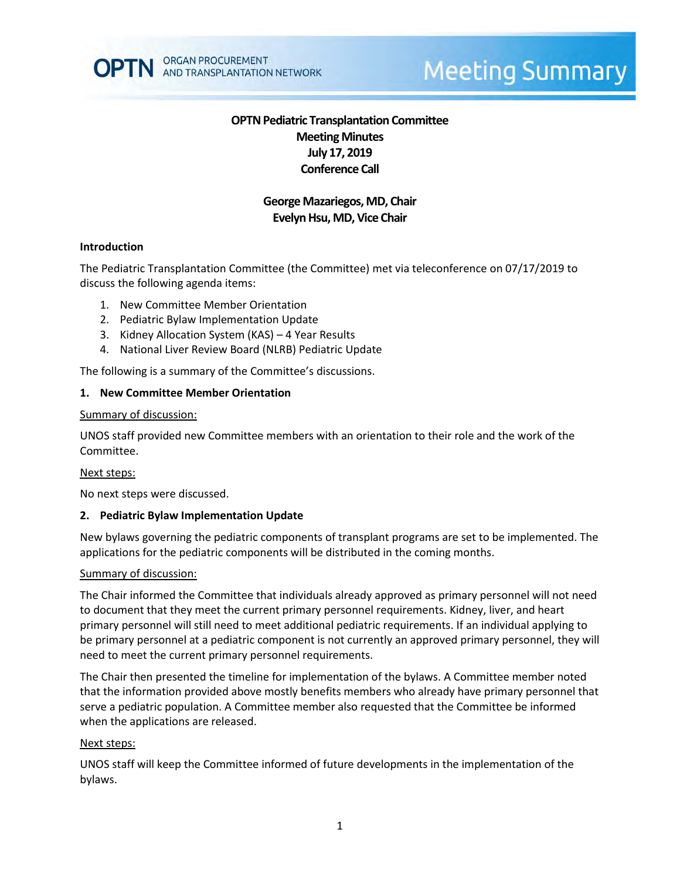

# **Meeting Summary**

# **OPTN Pediatric Transplantation Committee Meeting Minutes July 17, 2019 Conference Call**

# **George Mazariegos, MD, Chair Evelyn Hsu, MD, Vice Chair**

#### **Introduction**

The Pediatric Transplantation Committee (the Committee) met via teleconference on 07/17/2019 to discuss the following agenda items:

- 1. New Committee Member Orientation
- 2. Pediatric Bylaw Implementation Update
- 3. Kidney Allocation System (KAS) 4 Year Results
- 4. National Liver Review Board (NLRB) Pediatric Update

The following is a summary of the Committee's discussions.

#### **1. New Committee Member Orientation**

#### Summary of discussion:

UNOS staff provided new Committee members with an orientation to their role and the work of the Committee.

#### Next steps:

No next steps were discussed.

#### **2. Pediatric Bylaw Implementation Update**

New bylaws governing the pediatric components of transplant programs are set to be implemented. The applications for the pediatric components will be distributed in the coming months.

#### Summary of discussion:

The Chair informed the Committee that individuals already approved as primary personnel will not need to document that they meet the current primary personnel requirements. Kidney, liver, and heart primary personnel will still need to meet additional pediatric requirements. If an individual applying to be primary personnel at a pediatric component is not currently an approved primary personnel, they will need to meet the current primary personnel requirements.

The Chair then presented the timeline for implementation of the bylaws. A Committee member noted that the information provided above mostly benefits members who already have primary personnel that serve a pediatric population. A Committee member also requested that the Committee be informed when the applications are released.

#### Next steps:

UNOS staff will keep the Committee informed of future developments in the implementation of the bylaws.